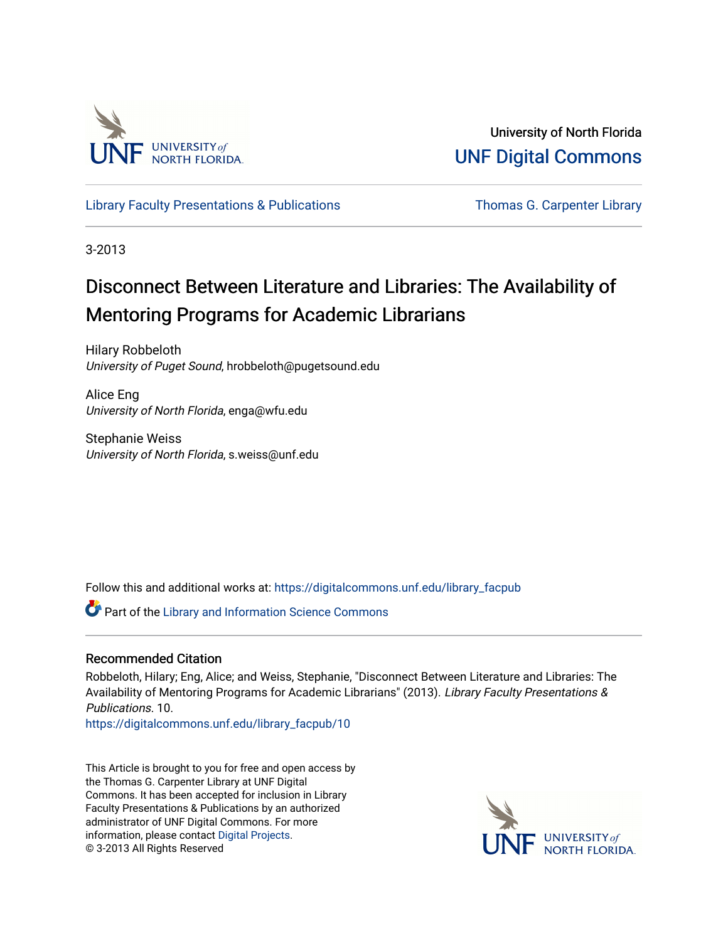

University of North Florida [UNF Digital Commons](https://digitalcommons.unf.edu/) 

[Library Faculty Presentations & Publications](https://digitalcommons.unf.edu/library_facpub) Thomas G. Carpenter Library

3-2013

# Disconnect Between Literature and Libraries: The Availability of Mentoring Programs for Academic Librarians

Hilary Robbeloth University of Puget Sound, hrobbeloth@pugetsound.edu

Alice Eng University of North Florida, enga@wfu.edu

Stephanie Weiss University of North Florida, s.weiss@unf.edu

Follow this and additional works at: [https://digitalcommons.unf.edu/library\\_facpub](https://digitalcommons.unf.edu/library_facpub?utm_source=digitalcommons.unf.edu%2Flibrary_facpub%2F10&utm_medium=PDF&utm_campaign=PDFCoverPages)

Part of the [Library and Information Science Commons](http://network.bepress.com/hgg/discipline/1018?utm_source=digitalcommons.unf.edu%2Flibrary_facpub%2F10&utm_medium=PDF&utm_campaign=PDFCoverPages) 

#### Recommended Citation

Robbeloth, Hilary; Eng, Alice; and Weiss, Stephanie, "Disconnect Between Literature and Libraries: The Availability of Mentoring Programs for Academic Librarians" (2013). Library Faculty Presentations & Publications. 10.

[https://digitalcommons.unf.edu/library\\_facpub/10](https://digitalcommons.unf.edu/library_facpub/10?utm_source=digitalcommons.unf.edu%2Flibrary_facpub%2F10&utm_medium=PDF&utm_campaign=PDFCoverPages) 

This Article is brought to you for free and open access by the Thomas G. Carpenter Library at UNF Digital Commons. It has been accepted for inclusion in Library Faculty Presentations & Publications by an authorized administrator of UNF Digital Commons. For more information, please contact [Digital Projects](mailto:lib-digital@unf.edu). © 3-2013 All Rights Reserved

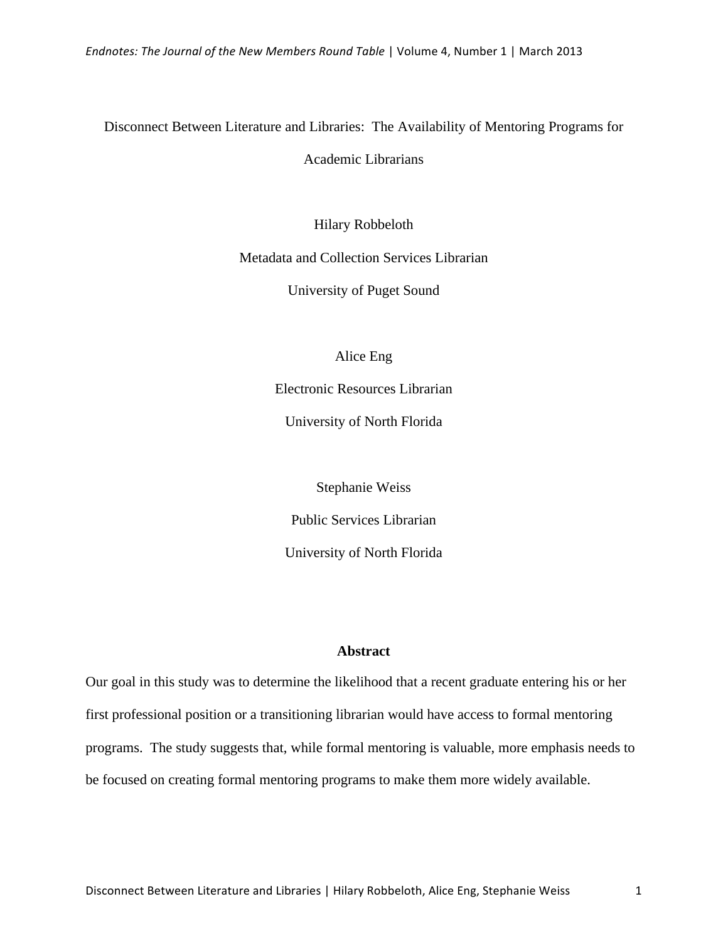# Disconnect Between Literature and Libraries: The Availability of Mentoring Programs for

Academic Librarians

Hilary Robbeloth

Metadata and Collection Services Librarian

University of Puget Sound

Alice Eng

Electronic Resources Librarian

University of North Florida

Stephanie Weiss Public Services Librarian University of North Florida

#### **Abstract**

Our goal in this study was to determine the likelihood that a recent graduate entering his or her first professional position or a transitioning librarian would have access to formal mentoring programs. The study suggests that, while formal mentoring is valuable, more emphasis needs to be focused on creating formal mentoring programs to make them more widely available.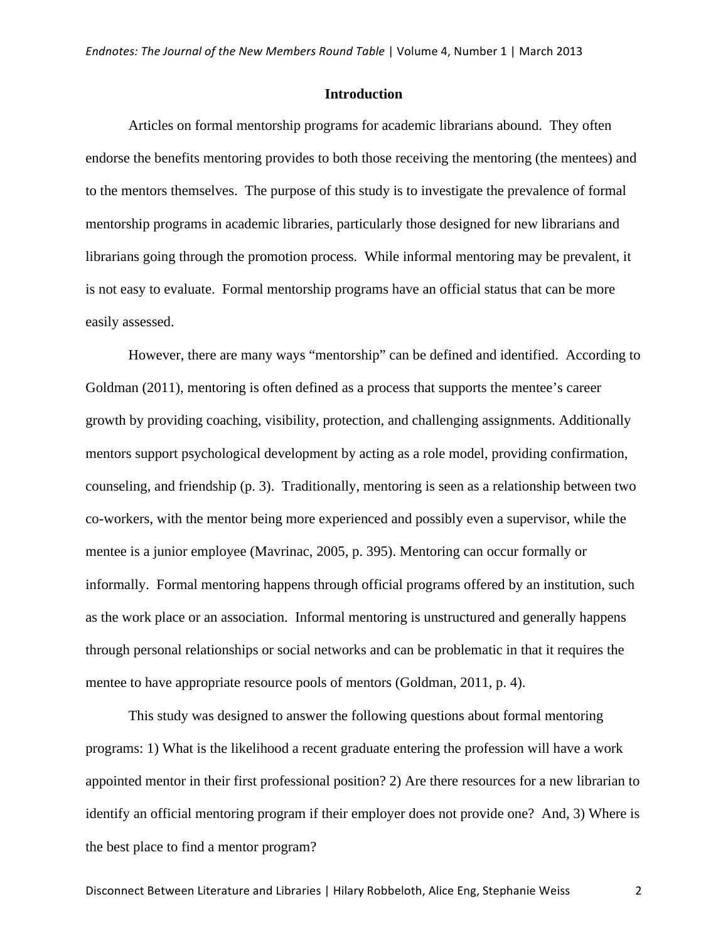#### **Introduction**

Articles on formal mentorship programs for academic librarians abound. They often endorse the benefits mentoring provides to both those receiving the mentoring (the mentees) and to the mentors themselves. The purpose of this study is to investigate the prevalence of formal mentorship programs in academic libraries, particularly those designed for new librarians and librarians going through the promotion process. While informal mentoring may be prevalent, it is not easy to evaluate. Formal mentorship programs have an official status that can be more easily assessed.

However, there are many ways "mentorship" can be defined and identified. According to Goldman (2011), mentoring is often defined as a process that supports the mentee's career growth by providing coaching, visibility, protection, and challenging assignments. Additionally mentors support psychological development by acting as a role model, providing confirmation, counseling, and friendship (p. 3). Traditionally, mentoring is seen as a relationship between two co-workers, with the mentor being more experienced and possibly even a supervisor, while the mentee is a junior employee (Mavrinac, 2005, p. 395). Mentoring can occur formally or informally. Formal mentoring happens through official programs offered by an institution, such as the work place or an association. Informal mentoring is unstructured and generally happens through personal relationships or social networks and can be problematic in that it requires the mentee to have appropriate resource pools of mentors (Goldman, 2011, p. 4).

This study was designed to answer the following questions about formal mentoring programs: 1) What is the likelihood a recent graduate entering the profession will have a work appointed mentor in their first professional position? 2) Are there resources for a new librarian to identify an official mentoring program if their employer does not provide one? And, 3) Where is the best place to find a mentor program?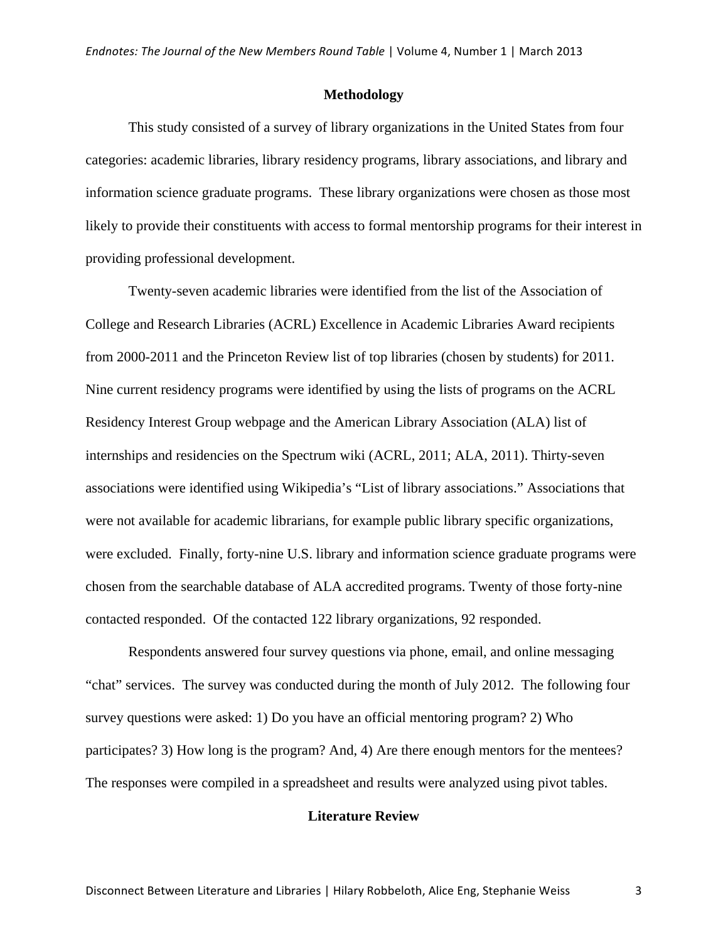#### **Methodology**

This study consisted of a survey of library organizations in the United States from four categories: academic libraries, library residency programs, library associations, and library and information science graduate programs. These library organizations were chosen as those most likely to provide their constituents with access to formal mentorship programs for their interest in providing professional development.

Twenty-seven academic libraries were identified from the list of the Association of College and Research Libraries (ACRL) Excellence in Academic Libraries Award recipients from 2000-2011 and the Princeton Review list of top libraries (chosen by students) for 2011. Nine current residency programs were identified by using the lists of programs on the ACRL Residency Interest Group webpage and the American Library Association (ALA) list of internships and residencies on the Spectrum wiki (ACRL, 2011; ALA, 2011). Thirty-seven associations were identified using Wikipedia's "List of library associations." Associations that were not available for academic librarians, for example public library specific organizations, were excluded. Finally, forty-nine U.S. library and information science graduate programs were chosen from the searchable database of ALA accredited programs. Twenty of those forty-nine contacted responded. Of the contacted 122 library organizations, 92 responded.

Respondents answered four survey questions via phone, email, and online messaging "chat" services. The survey was conducted during the month of July 2012. The following four survey questions were asked: 1) Do you have an official mentoring program? 2) Who participates? 3) How long is the program? And, 4) Are there enough mentors for the mentees? The responses were compiled in a spreadsheet and results were analyzed using pivot tables.

#### **Literature Review**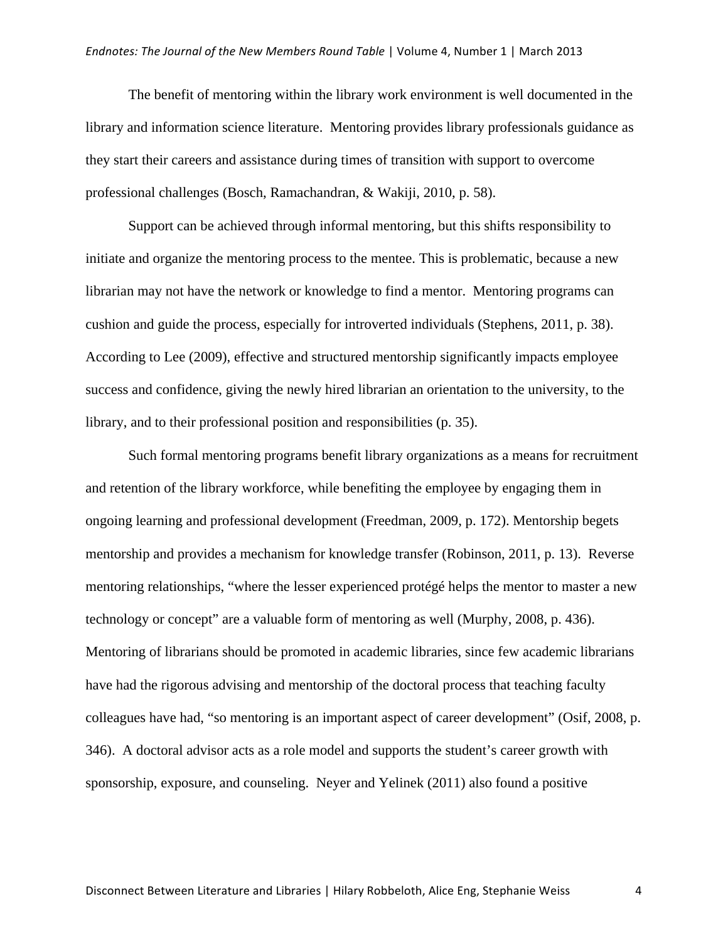The benefit of mentoring within the library work environment is well documented in the library and information science literature. Mentoring provides library professionals guidance as they start their careers and assistance during times of transition with support to overcome professional challenges (Bosch, Ramachandran, & Wakiji, 2010, p. 58).

Support can be achieved through informal mentoring, but this shifts responsibility to initiate and organize the mentoring process to the mentee. This is problematic, because a new librarian may not have the network or knowledge to find a mentor. Mentoring programs can cushion and guide the process, especially for introverted individuals (Stephens, 2011, p. 38). According to Lee (2009), effective and structured mentorship significantly impacts employee success and confidence, giving the newly hired librarian an orientation to the university, to the library, and to their professional position and responsibilities (p. 35).

Such formal mentoring programs benefit library organizations as a means for recruitment and retention of the library workforce, while benefiting the employee by engaging them in ongoing learning and professional development (Freedman, 2009, p. 172). Mentorship begets mentorship and provides a mechanism for knowledge transfer (Robinson, 2011, p. 13). Reverse mentoring relationships, "where the lesser experienced protégé helps the mentor to master a new technology or concept" are a valuable form of mentoring as well (Murphy, 2008, p. 436). Mentoring of librarians should be promoted in academic libraries, since few academic librarians have had the rigorous advising and mentorship of the doctoral process that teaching faculty colleagues have had, "so mentoring is an important aspect of career development" (Osif, 2008, p. 346). A doctoral advisor acts as a role model and supports the student's career growth with sponsorship, exposure, and counseling. Neyer and Yelinek (2011) also found a positive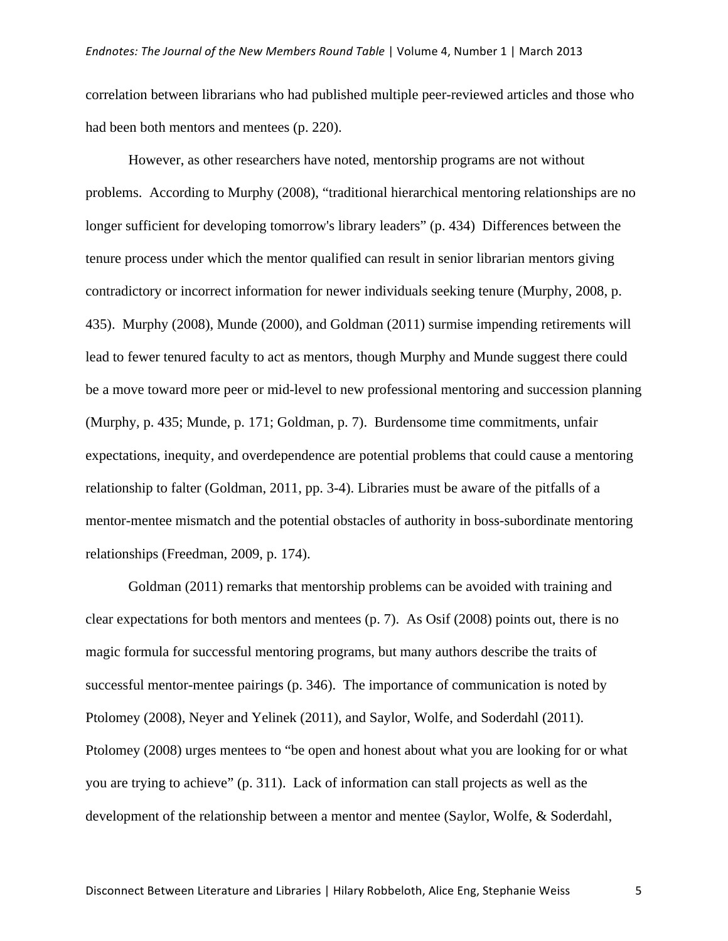correlation between librarians who had published multiple peer-reviewed articles and those who had been both mentors and mentees (p. 220).

However, as other researchers have noted, mentorship programs are not without problems. According to Murphy (2008), "traditional hierarchical mentoring relationships are no longer sufficient for developing tomorrow's library leaders" (p. 434) Differences between the tenure process under which the mentor qualified can result in senior librarian mentors giving contradictory or incorrect information for newer individuals seeking tenure (Murphy, 2008, p. 435). Murphy (2008), Munde (2000), and Goldman (2011) surmise impending retirements will lead to fewer tenured faculty to act as mentors, though Murphy and Munde suggest there could be a move toward more peer or mid-level to new professional mentoring and succession planning (Murphy, p. 435; Munde, p. 171; Goldman, p. 7). Burdensome time commitments, unfair expectations, inequity, and overdependence are potential problems that could cause a mentoring relationship to falter (Goldman, 2011, pp. 3-4). Libraries must be aware of the pitfalls of a mentor-mentee mismatch and the potential obstacles of authority in boss-subordinate mentoring relationships (Freedman, 2009, p. 174).

Goldman (2011) remarks that mentorship problems can be avoided with training and clear expectations for both mentors and mentees (p. 7). As Osif (2008) points out, there is no magic formula for successful mentoring programs, but many authors describe the traits of successful mentor-mentee pairings (p. 346). The importance of communication is noted by Ptolomey (2008), Neyer and Yelinek (2011), and Saylor, Wolfe, and Soderdahl (2011). Ptolomey (2008) urges mentees to "be open and honest about what you are looking for or what you are trying to achieve" (p. 311). Lack of information can stall projects as well as the development of the relationship between a mentor and mentee (Saylor, Wolfe, & Soderdahl,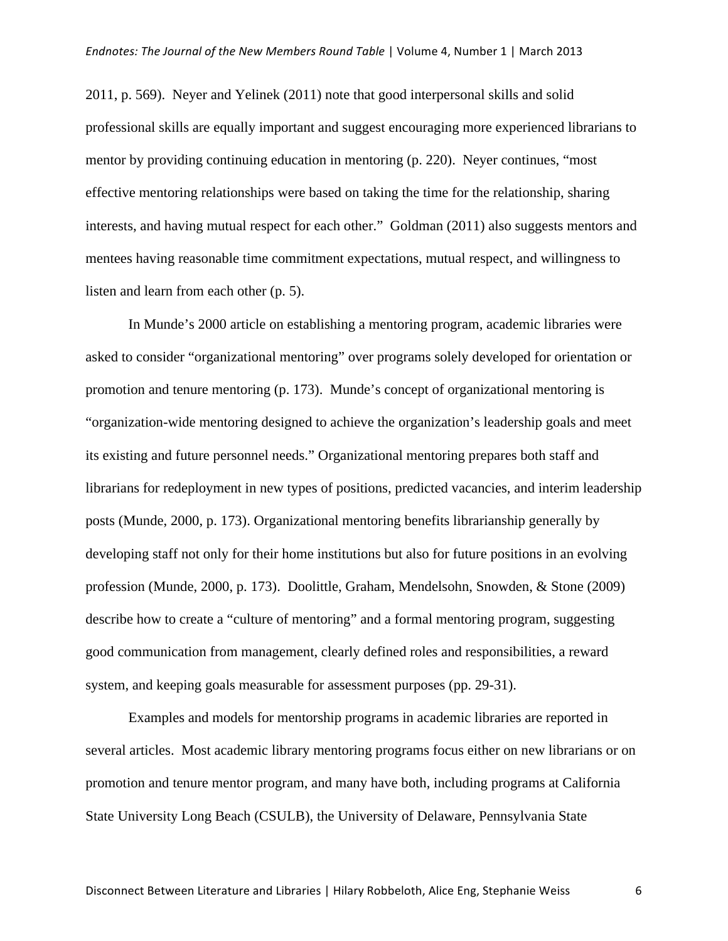2011, p. 569). Neyer and Yelinek (2011) note that good interpersonal skills and solid professional skills are equally important and suggest encouraging more experienced librarians to mentor by providing continuing education in mentoring (p. 220). Neyer continues, "most effective mentoring relationships were based on taking the time for the relationship, sharing interests, and having mutual respect for each other." Goldman (2011) also suggests mentors and mentees having reasonable time commitment expectations, mutual respect, and willingness to listen and learn from each other (p. 5).

In Munde's 2000 article on establishing a mentoring program, academic libraries were asked to consider "organizational mentoring" over programs solely developed for orientation or promotion and tenure mentoring (p. 173). Munde's concept of organizational mentoring is "organization-wide mentoring designed to achieve the organization's leadership goals and meet its existing and future personnel needs." Organizational mentoring prepares both staff and librarians for redeployment in new types of positions, predicted vacancies, and interim leadership posts (Munde, 2000, p. 173). Organizational mentoring benefits librarianship generally by developing staff not only for their home institutions but also for future positions in an evolving profession (Munde, 2000, p. 173). Doolittle, Graham, Mendelsohn, Snowden, & Stone (2009) describe how to create a "culture of mentoring" and a formal mentoring program, suggesting good communication from management, clearly defined roles and responsibilities, a reward system, and keeping goals measurable for assessment purposes (pp. 29-31).

Examples and models for mentorship programs in academic libraries are reported in several articles. Most academic library mentoring programs focus either on new librarians or on promotion and tenure mentor program, and many have both, including programs at California State University Long Beach (CSULB), the University of Delaware, Pennsylvania State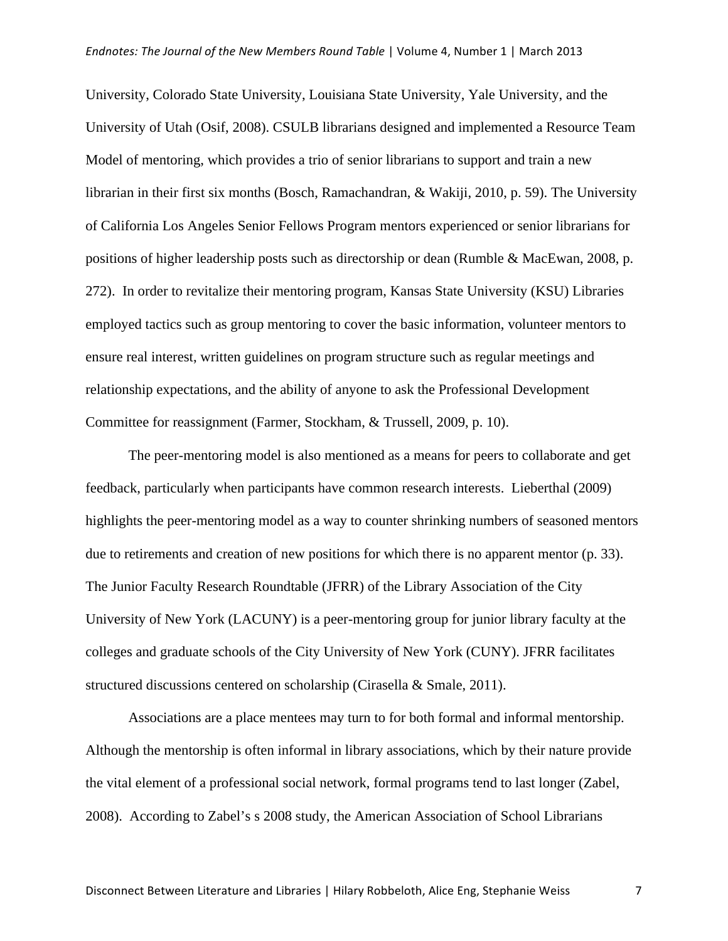University, Colorado State University, Louisiana State University, Yale University, and the University of Utah (Osif, 2008). CSULB librarians designed and implemented a Resource Team Model of mentoring, which provides a trio of senior librarians to support and train a new librarian in their first six months (Bosch, Ramachandran, & Wakiji, 2010, p. 59). The University of California Los Angeles Senior Fellows Program mentors experienced or senior librarians for positions of higher leadership posts such as directorship or dean (Rumble & MacEwan, 2008, p. 272). In order to revitalize their mentoring program, Kansas State University (KSU) Libraries employed tactics such as group mentoring to cover the basic information, volunteer mentors to ensure real interest, written guidelines on program structure such as regular meetings and relationship expectations, and the ability of anyone to ask the Professional Development Committee for reassignment (Farmer, Stockham, & Trussell, 2009, p. 10).

The peer-mentoring model is also mentioned as a means for peers to collaborate and get feedback, particularly when participants have common research interests. Lieberthal (2009) highlights the peer-mentoring model as a way to counter shrinking numbers of seasoned mentors due to retirements and creation of new positions for which there is no apparent mentor (p. 33). The Junior Faculty Research Roundtable (JFRR) of the Library Association of the City University of New York (LACUNY) is a peer-mentoring group for junior library faculty at the colleges and graduate schools of the City University of New York (CUNY). JFRR facilitates structured discussions centered on scholarship (Cirasella & Smale, 2011).

Associations are a place mentees may turn to for both formal and informal mentorship. Although the mentorship is often informal in library associations, which by their nature provide the vital element of a professional social network, formal programs tend to last longer (Zabel, 2008). According to Zabel's s 2008 study, the American Association of School Librarians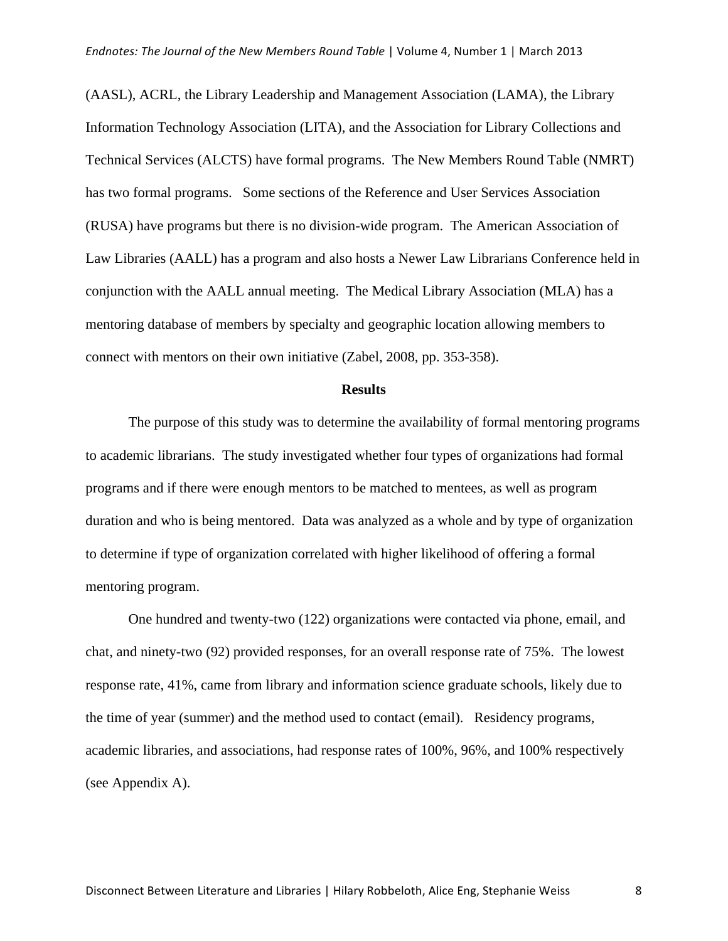(AASL), ACRL, the Library Leadership and Management Association (LAMA), the Library Information Technology Association (LITA), and the Association for Library Collections and Technical Services (ALCTS) have formal programs. The New Members Round Table (NMRT) has two formal programs. Some sections of the Reference and User Services Association (RUSA) have programs but there is no division-wide program. The American Association of Law Libraries (AALL) has a program and also hosts a Newer Law Librarians Conference held in conjunction with the AALL annual meeting. The Medical Library Association (MLA) has a mentoring database of members by specialty and geographic location allowing members to connect with mentors on their own initiative (Zabel, 2008, pp. 353-358).

#### **Results**

The purpose of this study was to determine the availability of formal mentoring programs to academic librarians. The study investigated whether four types of organizations had formal programs and if there were enough mentors to be matched to mentees, as well as program duration and who is being mentored. Data was analyzed as a whole and by type of organization to determine if type of organization correlated with higher likelihood of offering a formal mentoring program.

One hundred and twenty-two (122) organizations were contacted via phone, email, and chat, and ninety-two (92) provided responses, for an overall response rate of 75%. The lowest response rate, 41%, came from library and information science graduate schools, likely due to the time of year (summer) and the method used to contact (email). Residency programs, academic libraries, and associations, had response rates of 100%, 96%, and 100% respectively (see Appendix A).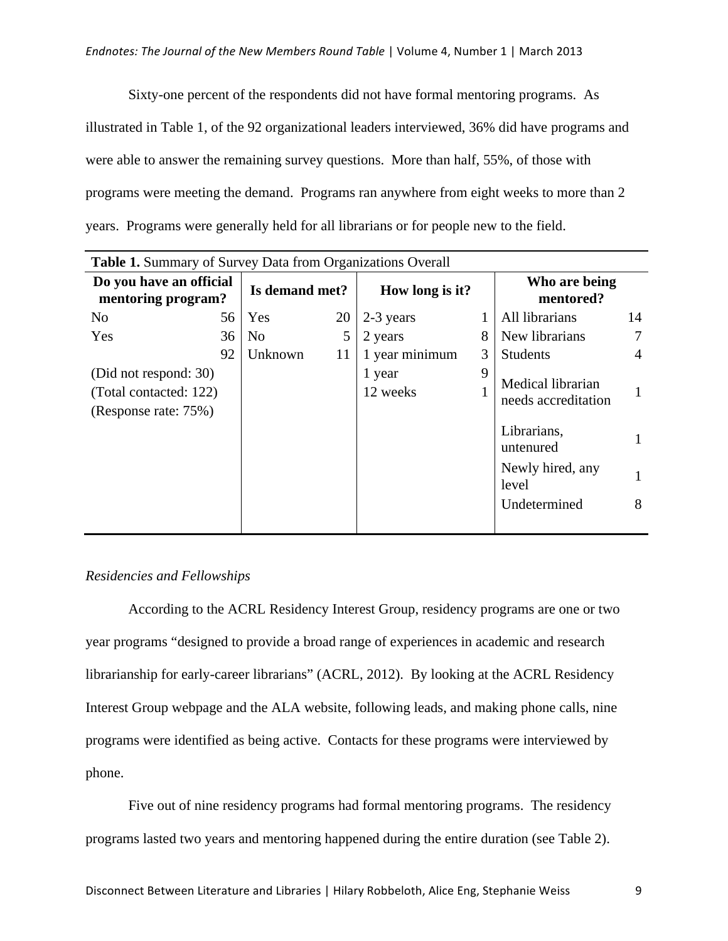Sixty-one percent of the respondents did not have formal mentoring programs. As illustrated in Table 1, of the 92 organizational leaders interviewed, 36% did have programs and were able to answer the remaining survey questions. More than half, 55%, of those with programs were meeting the demand. Programs ran anywhere from eight weeks to more than 2 years. Programs were generally held for all librarians or for people new to the field.

| <b>Table 1.</b> Summary of Survey Data from Organizations Overall       |    |                |    |                    |   |                                                                                                                   |        |
|-------------------------------------------------------------------------|----|----------------|----|--------------------|---|-------------------------------------------------------------------------------------------------------------------|--------|
| Do you have an official<br>mentoring program?                           |    | Is demand met? |    | How long is it?    |   | Who are being<br>mentored?                                                                                        |        |
| N <sub>0</sub>                                                          | 56 | Yes            | 20 | 2-3 years          |   | All librarians                                                                                                    | 14     |
| Yes                                                                     | 36 | N <sub>o</sub> | 5  | 2 years            | 8 | New librarians                                                                                                    | 7      |
|                                                                         | 92 | Unknown        | 11 | 1 year minimum     | 3 | <b>Students</b>                                                                                                   | 4      |
| (Did not respond: 30)<br>(Total contacted: 122)<br>(Response rate: 75%) |    |                |    | 1 year<br>12 weeks | 9 | Medical librarian<br>needs accreditation<br>Librarians,<br>untenured<br>Newly hired, any<br>level<br>Undetermined | 1<br>8 |

## *Residencies and Fellowships*

According to the ACRL Residency Interest Group, residency programs are one or two year programs "designed to provide a broad range of experiences in academic and research librarianship for early-career librarians" (ACRL, 2012). By looking at the ACRL Residency Interest Group webpage and the ALA website, following leads, and making phone calls, nine programs were identified as being active. Contacts for these programs were interviewed by phone.

Five out of nine residency programs had formal mentoring programs. The residency programs lasted two years and mentoring happened during the entire duration (see Table 2).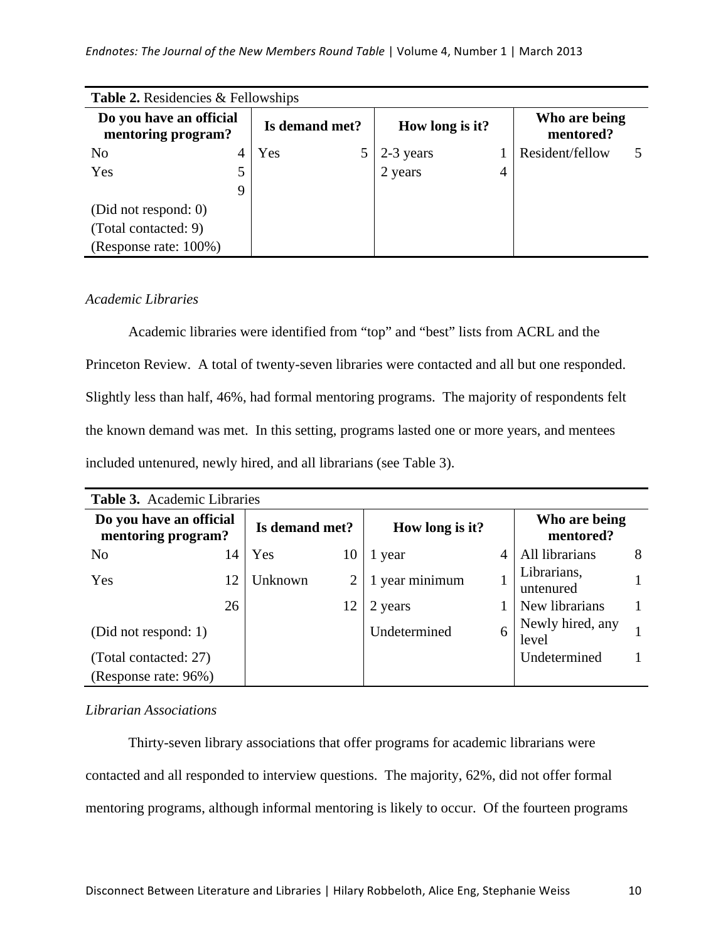#### *Endnotes: The Journal of the New Members Round Table* | Volume 4, Number 1 | March 2013

| <b>Table 2.</b> Residencies & Fellowships     |   |                |                      |   |                            |  |
|-----------------------------------------------|---|----------------|----------------------|---|----------------------------|--|
| Do you have an official<br>mentoring program? |   | Is demand met? | How long is it?      |   | Who are being<br>mentored? |  |
| N <sub>0</sub>                                |   | Yes            | 2-3 years<br>2 years |   | Resident/fellow            |  |
| Yes                                           |   |                |                      | 4 |                            |  |
|                                               | 9 |                |                      |   |                            |  |
| (Did not respond: 0)                          |   |                |                      |   |                            |  |
| (Total contacted: 9)                          |   |                |                      |   |                            |  |
| (Response rate: 100%)                         |   |                |                      |   |                            |  |

#### *Academic Libraries*

Academic libraries were identified from "top" and "best" lists from ACRL and the Princeton Review. A total of twenty-seven libraries were contacted and all but one responded. Slightly less than half, 46%, had formal mentoring programs. The majority of respondents felt the known demand was met. In this setting, programs lasted one or more years, and mentees included untenured, newly hired, and all librarians (see Table 3).

| <b>Table 3.</b> Academic Libraries            |    |                |    |                 |   |                            |   |  |  |  |
|-----------------------------------------------|----|----------------|----|-----------------|---|----------------------------|---|--|--|--|
| Do you have an official<br>mentoring program? |    | Is demand met? |    | How long is it? |   | Who are being<br>mentored? |   |  |  |  |
| N <sub>0</sub>                                | 14 | Yes            | 10 | 1 year          | 4 | All librarians             | 8 |  |  |  |
| Yes                                           | 12 | Unknown        |    | 1 year minimum  |   | Librarians,<br>untenured   |   |  |  |  |
|                                               | 26 |                | 12 | 2 years         |   | New librarians             |   |  |  |  |
| (Did not respond: 1)                          |    |                |    | Undetermined    | 6 | Newly hired, any<br>level  |   |  |  |  |
| (Total contacted: 27)                         |    |                |    |                 |   | Undetermined               |   |  |  |  |
| (Response rate: 96%)                          |    |                |    |                 |   |                            |   |  |  |  |

#### *Librarian Associations*

Thirty-seven library associations that offer programs for academic librarians were contacted and all responded to interview questions. The majority, 62%, did not offer formal mentoring programs, although informal mentoring is likely to occur. Of the fourteen programs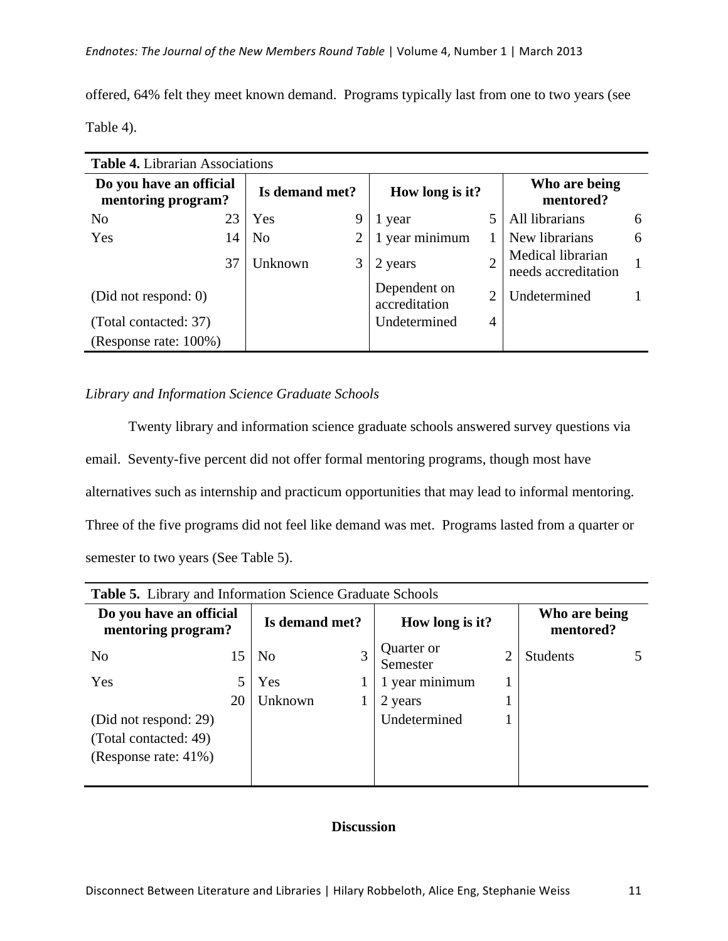offered, 64% felt they meet known demand. Programs typically last from one to two years (see Table 4).

| <b>Table 4.</b> Librarian Associations        |    |                |                |                               |                |                                          |   |
|-----------------------------------------------|----|----------------|----------------|-------------------------------|----------------|------------------------------------------|---|
| Do you have an official<br>mentoring program? |    | Is demand met? |                | How long is it?               |                | Who are being<br>mentored?               |   |
| N <sub>0</sub>                                | 23 | Yes            | 9              | 1 year                        |                | All librarians                           | 6 |
| Yes                                           | 14 | N <sub>o</sub> | $\overline{2}$ | 1 year minimum                |                | New librarians                           | 6 |
|                                               | 37 | Unknown        | 3              | 2 years                       |                | Medical librarian<br>needs accreditation |   |
| (Did not respond: 0)                          |    |                |                | Dependent on<br>accreditation | $\overline{2}$ | Undetermined                             |   |
| (Total contacted: 37)                         |    |                |                | Undetermined                  | $\overline{4}$ |                                          |   |
| (Response rate: 100%)                         |    |                |                |                               |                |                                          |   |

## *Library and Information Science Graduate Schools*

Twenty library and information science graduate schools answered survey questions via email. Seventy-five percent did not offer formal mentoring programs, though most have alternatives such as internship and practicum opportunities that may lead to informal mentoring. Three of the five programs did not feel like demand was met. Programs lasted from a quarter or semester to two years (See Table 5).

| <b>Table 5.</b> Library and Information Science Graduate Schools |    |                |                        |                |                            |  |
|------------------------------------------------------------------|----|----------------|------------------------|----------------|----------------------------|--|
| Do you have an official<br>mentoring program?                    |    | Is demand met? | How long is it?        |                | Who are being<br>mentored? |  |
| N <sub>0</sub>                                                   | 15 | N <sub>0</sub> | Quarter or<br>Semester | $\overline{2}$ | <b>Students</b>            |  |
| Yes                                                              |    | Yes            | 1 year minimum         |                |                            |  |
|                                                                  | 20 | Unknown        | 2 years                |                |                            |  |
| (Did not respond: 29)                                            |    |                | Undetermined           |                |                            |  |
| (Total contacted: 49)                                            |    |                |                        |                |                            |  |
| (Response rate: 41%)                                             |    |                |                        |                |                            |  |
|                                                                  |    |                |                        |                |                            |  |

# **Table 5.** Library and Information Science Graduate Schools

# **Discussion**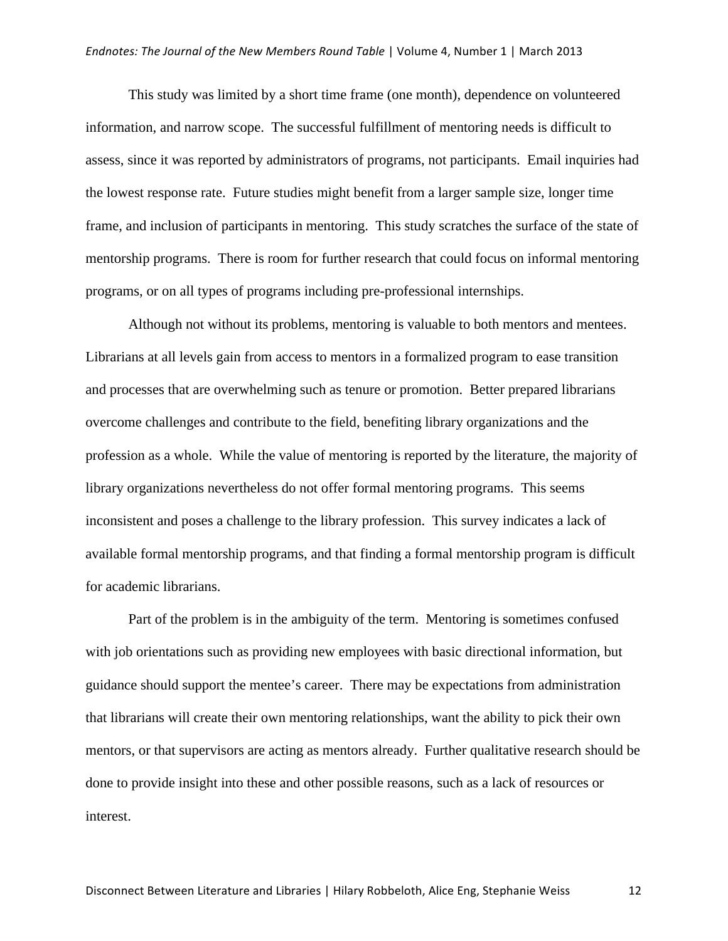This study was limited by a short time frame (one month), dependence on volunteered information, and narrow scope. The successful fulfillment of mentoring needs is difficult to assess, since it was reported by administrators of programs, not participants. Email inquiries had the lowest response rate. Future studies might benefit from a larger sample size, longer time frame, and inclusion of participants in mentoring. This study scratches the surface of the state of mentorship programs. There is room for further research that could focus on informal mentoring programs, or on all types of programs including pre-professional internships.

Although not without its problems, mentoring is valuable to both mentors and mentees. Librarians at all levels gain from access to mentors in a formalized program to ease transition and processes that are overwhelming such as tenure or promotion. Better prepared librarians overcome challenges and contribute to the field, benefiting library organizations and the profession as a whole. While the value of mentoring is reported by the literature, the majority of library organizations nevertheless do not offer formal mentoring programs. This seems inconsistent and poses a challenge to the library profession. This survey indicates a lack of available formal mentorship programs, and that finding a formal mentorship program is difficult for academic librarians.

Part of the problem is in the ambiguity of the term. Mentoring is sometimes confused with job orientations such as providing new employees with basic directional information, but guidance should support the mentee's career. There may be expectations from administration that librarians will create their own mentoring relationships, want the ability to pick their own mentors, or that supervisors are acting as mentors already. Further qualitative research should be done to provide insight into these and other possible reasons, such as a lack of resources or interest.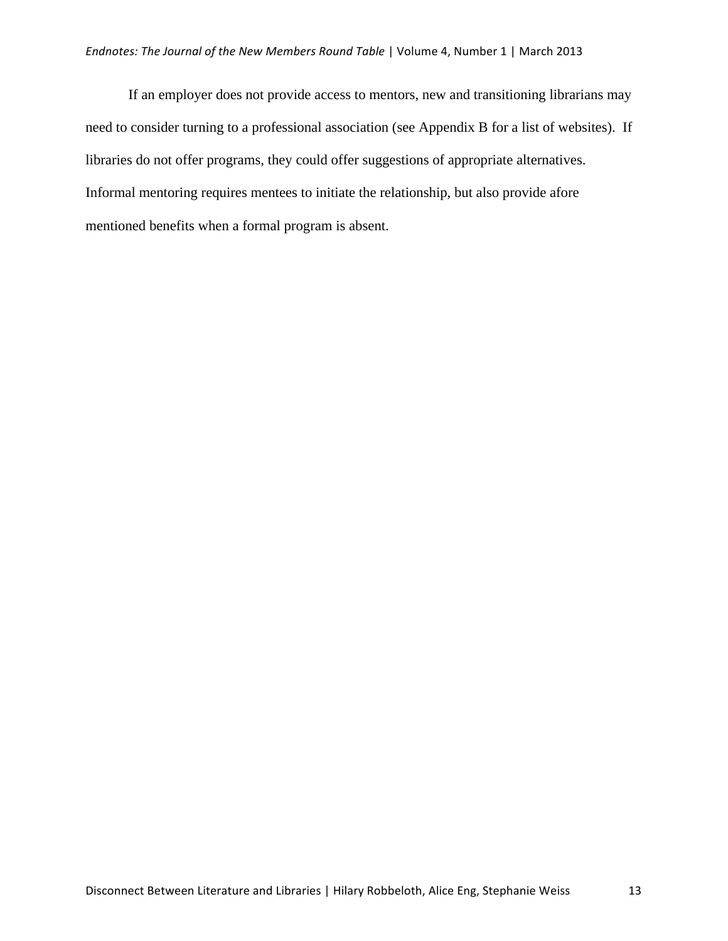If an employer does not provide access to mentors, new and transitioning librarians may need to consider turning to a professional association (see Appendix B for a list of websites). If libraries do not offer programs, they could offer suggestions of appropriate alternatives. Informal mentoring requires mentees to initiate the relationship, but also provide afore mentioned benefits when a formal program is absent.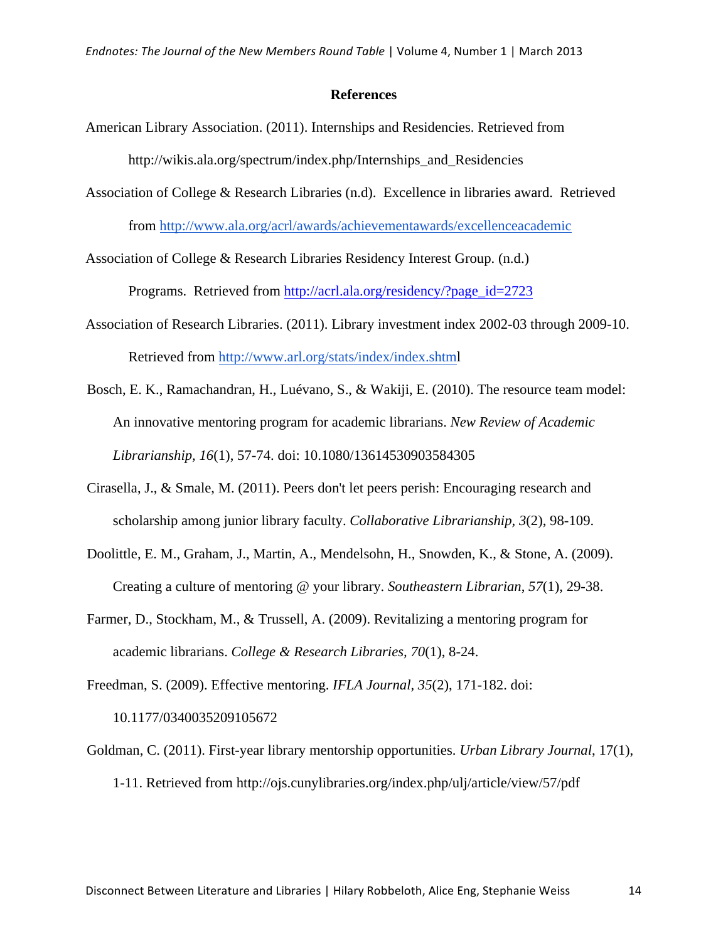#### **References**

- American Library Association. (2011). Internships and Residencies. Retrieved from http://wikis.ala.org/spectrum/index.php/Internships\_and\_Residencies
- Association of College & Research Libraries (n.d). Excellence in libraries award. Retrieved from http://www.ala.org/acrl/awards/achievementawards/excellenceacademic

Association of College & Research Libraries Residency Interest Group. (n.d.)

Programs. Retrieved from http://acrl.ala.org/residency/?page\_id=2723

- Association of Research Libraries. (2011). Library investment index 2002-03 through 2009-10. Retrieved from http://www.arl.org/stats/index/index.shtml
- Bosch, E. K., Ramachandran, H., Luévano, S., & Wakiji, E. (2010). The resource team model: An innovative mentoring program for academic librarians. *New Review of Academic Librarianship, 16*(1), 57-74. doi: 10.1080/13614530903584305
- Cirasella, J., & Smale, M. (2011). Peers don't let peers perish: Encouraging research and scholarship among junior library faculty. *Collaborative Librarianship, 3*(2), 98-109.
- Doolittle, E. M., Graham, J., Martin, A., Mendelsohn, H., Snowden, K., & Stone, A. (2009). Creating a culture of mentoring @ your library. *Southeastern Librarian*, *57*(1), 29-38.
- Farmer, D., Stockham, M., & Trussell, A. (2009). Revitalizing a mentoring program for academic librarians. *College & Research Libraries, 70*(1), 8-24.

Freedman, S. (2009). Effective mentoring. *IFLA Journal, 35*(2), 171-182. doi: 10.1177/0340035209105672

Goldman, C. (2011). First-year library mentorship opportunities. *Urban Library Journal*, 17(1), 1-11. Retrieved from http://ojs.cunylibraries.org/index.php/ulj/article/view/57/pdf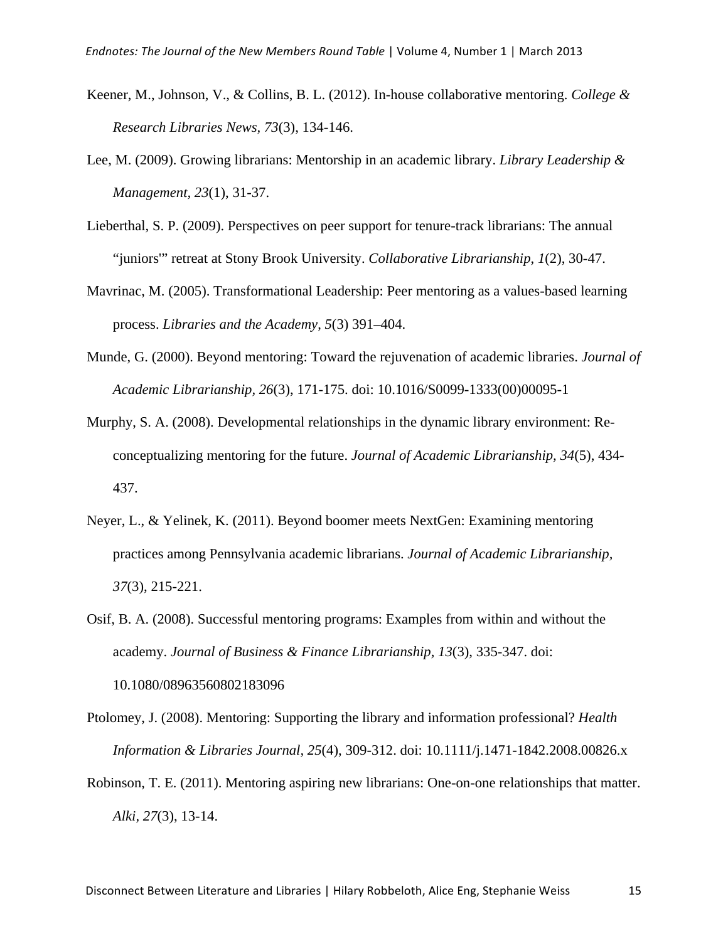- Keener, M., Johnson, V., & Collins, B. L. (2012). In-house collaborative mentoring. *College & Research Libraries News, 73*(3), 134-146.
- Lee, M. (2009). Growing librarians: Mentorship in an academic library. *Library Leadership & Management, 23*(1), 31-37.
- Lieberthal, S. P. (2009). Perspectives on peer support for tenure-track librarians: The annual "juniors'" retreat at Stony Brook University. *Collaborative Librarianship*, *1*(2), 30-47.
- Mavrinac, M. (2005). Transformational Leadership: Peer mentoring as a values-based learning process. *Libraries and the Academy*, *5*(3) 391–404.
- Munde, G. (2000). Beyond mentoring: Toward the rejuvenation of academic libraries. *Journal of Academic Librarianship, 26*(3), 171-175. doi: 10.1016/S0099-1333(00)00095-1
- Murphy, S. A. (2008). Developmental relationships in the dynamic library environment: Reconceptualizing mentoring for the future. *Journal of Academic Librarianship, 34*(5), 434- 437.
- Neyer, L., & Yelinek, K. (2011). Beyond boomer meets NextGen: Examining mentoring practices among Pennsylvania academic librarians. *Journal of Academic Librarianship, 37*(3), 215-221.

Osif, B. A. (2008). Successful mentoring programs: Examples from within and without the academy. *Journal of Business & Finance Librarianship, 13*(3), 335-347. doi: 10.1080/08963560802183096

- Ptolomey, J. (2008). Mentoring: Supporting the library and information professional? *Health Information & Libraries Journal, 25*(4), 309-312. doi: 10.1111/j.1471-1842.2008.00826.x
- Robinson, T. E. (2011). Mentoring aspiring new librarians: One-on-one relationships that matter. *Alki, 27*(3), 13-14.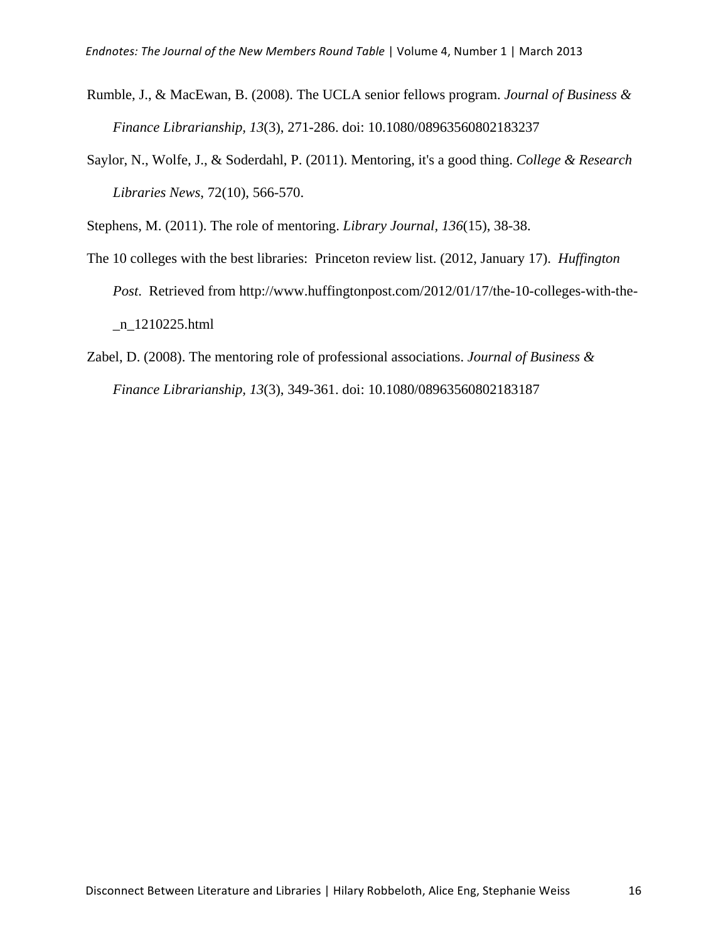- Rumble, J., & MacEwan, B. (2008). The UCLA senior fellows program. *Journal of Business & Finance Librarianship, 13*(3), 271-286. doi: 10.1080/08963560802183237
- Saylor, N., Wolfe, J., & Soderdahl, P. (2011). Mentoring, it's a good thing. *College & Research Libraries News*, 72(10), 566-570.

Stephens, M. (2011). The role of mentoring. *Library Journal, 136*(15), 38-38.

- The 10 colleges with the best libraries: Princeton review list. (2012, January 17). *Huffington Post*. Retrieved from http://www.huffingtonpost.com/2012/01/17/the-10-colleges-with-the- \_n\_1210225.html
- Zabel, D. (2008). The mentoring role of professional associations. *Journal of Business & Finance Librarianship, 13*(3), 349-361. doi: 10.1080/08963560802183187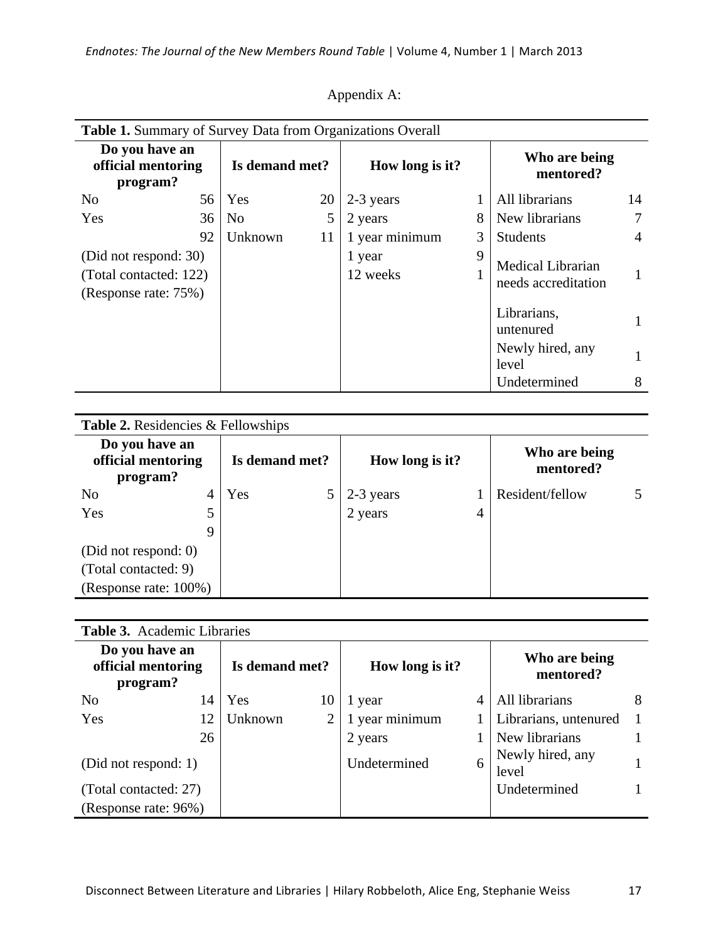| <b>Table 1.</b> Summary of Survey Data from Organizations Overall       |    |                |    |                    |   |                                                 |    |  |  |  |
|-------------------------------------------------------------------------|----|----------------|----|--------------------|---|-------------------------------------------------|----|--|--|--|
| Do you have an<br>official mentoring<br>program?                        |    | Is demand met? |    | How long is it?    |   | Who are being<br>mentored?                      |    |  |  |  |
| N <sub>0</sub>                                                          | 56 | Yes            | 20 | 2-3 years          |   | All librarians                                  | 14 |  |  |  |
| Yes                                                                     | 36 | N <sub>0</sub> | 5  | 2 years            | 8 | New librarians                                  | 7  |  |  |  |
|                                                                         | 92 | Unknown        | 11 | 1 year minimum     | 3 | <b>Students</b>                                 | 4  |  |  |  |
| (Did not respond: 30)<br>(Total contacted: 122)<br>(Response rate: 75%) |    |                |    | 1 year<br>12 weeks | 9 | <b>Medical Librarian</b><br>needs accreditation |    |  |  |  |
|                                                                         |    |                |    |                    |   | Librarians,<br>untenured                        |    |  |  |  |
|                                                                         |    |                |    |                    |   | Newly hired, any<br>level                       |    |  |  |  |
|                                                                         |    |                |    |                    |   | Undetermined                                    | 8  |  |  |  |

| <b>Table 2.</b> Residencies & Fellowships        |   |                |  |                 |                |                            |  |  |  |  |
|--------------------------------------------------|---|----------------|--|-----------------|----------------|----------------------------|--|--|--|--|
| Do you have an<br>official mentoring<br>program? |   | Is demand met? |  | How long is it? |                | Who are being<br>mentored? |  |  |  |  |
| N <sub>0</sub>                                   | 4 | Yes            |  | 2-3 years       |                | Resident/fellow            |  |  |  |  |
| Yes                                              |   |                |  | 2 years         | $\overline{4}$ |                            |  |  |  |  |
|                                                  | Q |                |  |                 |                |                            |  |  |  |  |
| (Did not respond: 0)                             |   |                |  |                 |                |                            |  |  |  |  |
| (Total contacted: 9)                             |   |                |  |                 |                |                            |  |  |  |  |
| (Response rate: 100%)                            |   |                |  |                 |                |                            |  |  |  |  |

|  | <b>Table 3.</b> Academic Libraries |  |
|--|------------------------------------|--|
|--|------------------------------------|--|

| Do you have an<br>official mentoring<br>program? |    | Is demand met? |    | How long is it? |   | Who are being<br>mentored? |  |
|--------------------------------------------------|----|----------------|----|-----------------|---|----------------------------|--|
| N <sub>0</sub>                                   | 14 | Yes            | 10 | 1 year          |   | All librarians             |  |
| Yes                                              | 12 | Unknown        |    | 1 year minimum  |   | Librarians, untenured      |  |
|                                                  | 26 |                |    | 2 years         |   | New librarians             |  |
| (Did not respond: 1)                             |    |                |    | Undetermined    | 6 | Newly hired, any<br>level  |  |
| (Total contacted: 27)                            |    |                |    |                 |   | Undetermined               |  |
| (Response rate: 96%)                             |    |                |    |                 |   |                            |  |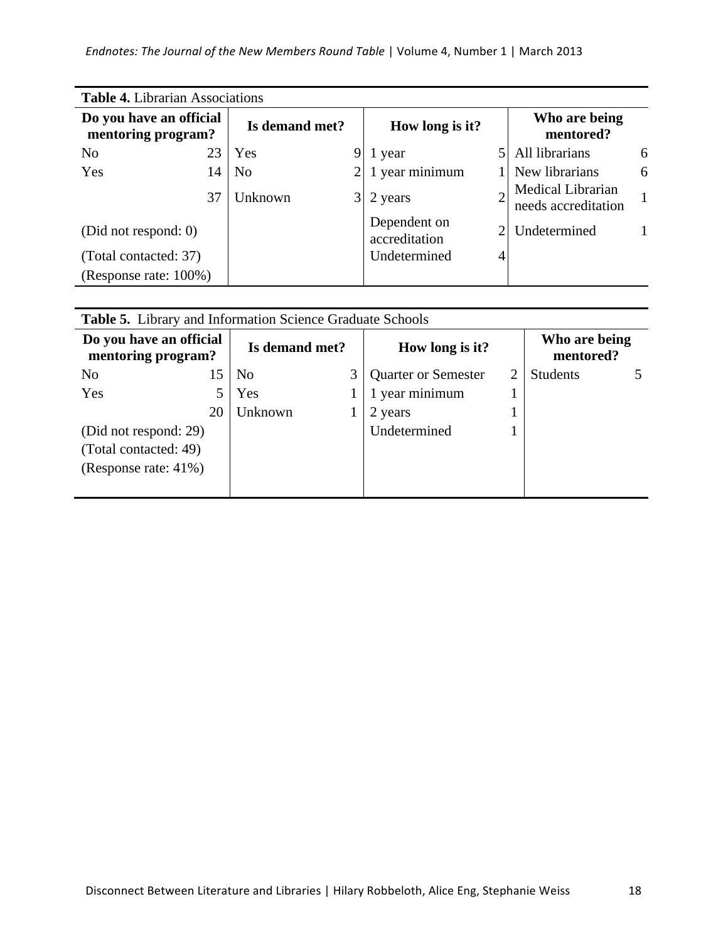| <b>Table 4.</b> Librarian Associations        |    |                |                 |                               |                            |                                          |   |  |  |  |
|-----------------------------------------------|----|----------------|-----------------|-------------------------------|----------------------------|------------------------------------------|---|--|--|--|
| Do you have an official<br>mentoring program? |    | Is demand met? | How long is it? |                               | Who are being<br>mentored? |                                          |   |  |  |  |
| N <sub>o</sub>                                | 23 | Yes            | 9               | 1 year                        |                            | All librarians                           | 6 |  |  |  |
| Yes                                           | 14 | N <sub>0</sub> |                 | 1 year minimum                |                            | New librarians                           | 6 |  |  |  |
|                                               | 37 | Unknown        | $\frac{3}{3}$   | 2 years                       |                            | Medical Librarian<br>needs accreditation |   |  |  |  |
| (Did not respond: 0)                          |    |                |                 | Dependent on<br>accreditation |                            | Undetermined                             |   |  |  |  |
| (Total contacted: 37)                         |    |                |                 | Undetermined                  |                            |                                          |   |  |  |  |
| (Response rate: 100%)                         |    |                |                 |                               |                            |                                          |   |  |  |  |

| <b>Table 5.</b> Library and Information Science Graduate Schools |    |                |   |                                               |  |                 |  |
|------------------------------------------------------------------|----|----------------|---|-----------------------------------------------|--|-----------------|--|
| Do you have an official<br>mentoring program?                    |    | Is demand met? |   | Who are being<br>How long is it?<br>mentored? |  |                 |  |
| N <sub>0</sub>                                                   | 15 | N <sub>0</sub> | 3 | <b>Quarter or Semester</b>                    |  | <b>Students</b> |  |
| Yes                                                              |    | Yes            |   | 1 year minimum                                |  |                 |  |
|                                                                  | 20 | Unknown        |   | 2 years                                       |  |                 |  |
| (Did not respond: 29)                                            |    |                |   | Undetermined                                  |  |                 |  |
| (Total contacted: 49)                                            |    |                |   |                                               |  |                 |  |
| (Response rate: 41%)                                             |    |                |   |                                               |  |                 |  |
|                                                                  |    |                |   |                                               |  |                 |  |